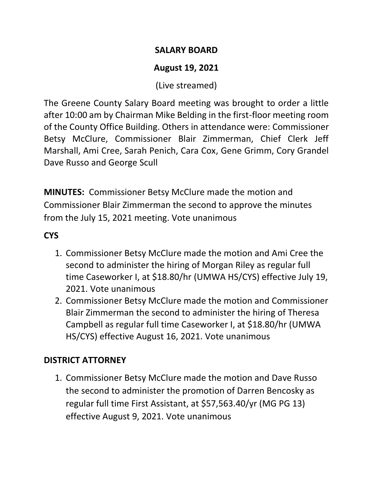### **SALARY BOARD**

## **August 19, 2021**

(Live streamed)

The Greene County Salary Board meeting was brought to order a little after 10:00 am by Chairman Mike Belding in the first-floor meeting room of the County Office Building. Others in attendance were: Commissioner Betsy McClure, Commissioner Blair Zimmerman, Chief Clerk Jeff Marshall, Ami Cree, Sarah Penich, Cara Cox, Gene Grimm, Cory Grandel Dave Russo and George Scull

**MINUTES:** Commissioner Betsy McClure made the motion and Commissioner Blair Zimmerman the second to approve the minutes from the July 15, 2021 meeting. Vote unanimous

# **CYS**

- 1. Commissioner Betsy McClure made the motion and Ami Cree the second to administer the hiring of Morgan Riley as regular full time Caseworker I, at \$18.80/hr (UMWA HS/CYS) effective July 19, 2021. Vote unanimous
- 2. Commissioner Betsy McClure made the motion and Commissioner Blair Zimmerman the second to administer the hiring of Theresa Campbell as regular full time Caseworker I, at \$18.80/hr (UMWA HS/CYS) effective August 16, 2021. Vote unanimous

## **DISTRICT ATTORNEY**

1. Commissioner Betsy McClure made the motion and Dave Russo the second to administer the promotion of Darren Bencosky as regular full time First Assistant, at \$57,563.40/yr (MG PG 13) effective August 9, 2021. Vote unanimous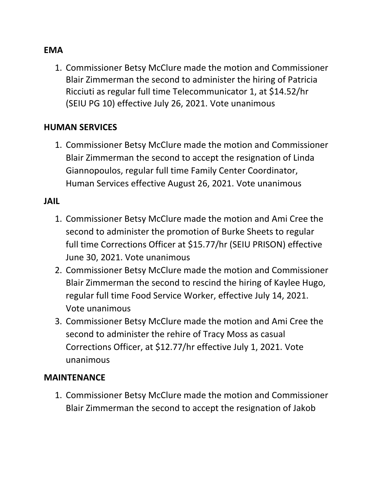#### **EMA**

1. Commissioner Betsy McClure made the motion and Commissioner Blair Zimmerman the second to administer the hiring of Patricia Ricciuti as regular full time Telecommunicator 1, at \$14.52/hr (SEIU PG 10) effective July 26, 2021. Vote unanimous

#### **HUMAN SERVICES**

1. Commissioner Betsy McClure made the motion and Commissioner Blair Zimmerman the second to accept the resignation of Linda Giannopoulos, regular full time Family Center Coordinator, Human Services effective August 26, 2021. Vote unanimous

#### **JAIL**

- 1. Commissioner Betsy McClure made the motion and Ami Cree the second to administer the promotion of Burke Sheets to regular full time Corrections Officer at \$15.77/hr (SEIU PRISON) effective June 30, 2021. Vote unanimous
- 2. Commissioner Betsy McClure made the motion and Commissioner Blair Zimmerman the second to rescind the hiring of Kaylee Hugo, regular full time Food Service Worker, effective July 14, 2021. Vote unanimous
- 3. Commissioner Betsy McClure made the motion and Ami Cree the second to administer the rehire of Tracy Moss as casual Corrections Officer, at \$12.77/hr effective July 1, 2021. Vote unanimous

#### **MAINTENANCE**

1. Commissioner Betsy McClure made the motion and Commissioner Blair Zimmerman the second to accept the resignation of Jakob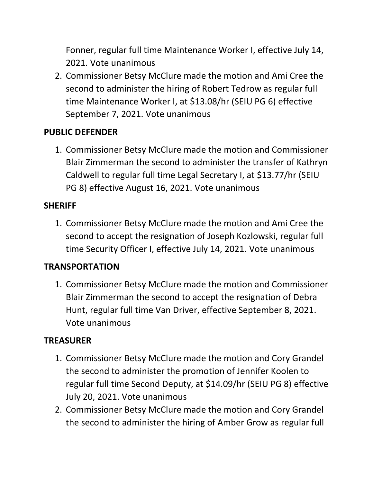Fonner, regular full time Maintenance Worker I, effective July 14, 2021. Vote unanimous

2. Commissioner Betsy McClure made the motion and Ami Cree the second to administer the hiring of Robert Tedrow as regular full time Maintenance Worker I, at \$13.08/hr (SEIU PG 6) effective September 7, 2021. Vote unanimous

### **PUBLIC DEFENDER**

1. Commissioner Betsy McClure made the motion and Commissioner Blair Zimmerman the second to administer the transfer of Kathryn Caldwell to regular full time Legal Secretary I, at \$13.77/hr (SEIU PG 8) effective August 16, 2021. Vote unanimous

#### **SHERIFF**

1. Commissioner Betsy McClure made the motion and Ami Cree the second to accept the resignation of Joseph Kozlowski, regular full time Security Officer I, effective July 14, 2021. Vote unanimous

#### **TRANSPORTATION**

1. Commissioner Betsy McClure made the motion and Commissioner Blair Zimmerman the second to accept the resignation of Debra Hunt, regular full time Van Driver, effective September 8, 2021. Vote unanimous

## **TREASURER**

- 1. Commissioner Betsy McClure made the motion and Cory Grandel the second to administer the promotion of Jennifer Koolen to regular full time Second Deputy, at \$14.09/hr (SEIU PG 8) effective July 20, 2021. Vote unanimous
- 2. Commissioner Betsy McClure made the motion and Cory Grandel the second to administer the hiring of Amber Grow as regular full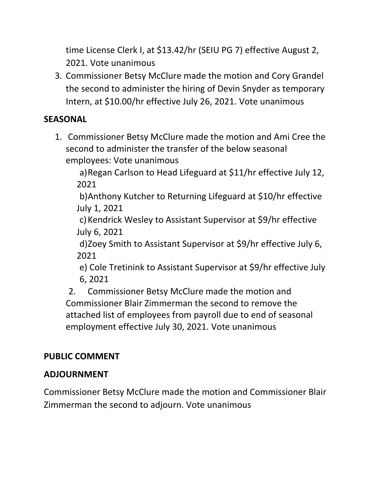time License Clerk I, at \$13.42/hr (SEIU PG 7) effective August 2, 2021. Vote unanimous

3. Commissioner Betsy McClure made the motion and Cory Grandel the second to administer the hiring of Devin Snyder as temporary Intern, at \$10.00/hr effective July 26, 2021. Vote unanimous

## **SEASONAL**

1. Commissioner Betsy McClure made the motion and Ami Cree the second to administer the transfer of the below seasonal employees: Vote unanimous

a)Regan Carlson to Head Lifeguard at \$11/hr effective July 12, 2021

b)Anthony Kutcher to Returning Lifeguard at \$10/hr effective July 1, 2021

c)Kendrick Wesley to Assistant Supervisor at \$9/hr effective July 6, 2021

d)Zoey Smith to Assistant Supervisor at \$9/hr effective July 6, 2021

e) Cole Tretinink to Assistant Supervisor at \$9/hr effective July 6, 2021

2. Commissioner Betsy McClure made the motion and Commissioner Blair Zimmerman the second to remove the attached list of employees from payroll due to end of seasonal employment effective July 30, 2021. Vote unanimous

# **PUBLIC COMMENT**

# **ADJOURNMENT**

Commissioner Betsy McClure made the motion and Commissioner Blair Zimmerman the second to adjourn. Vote unanimous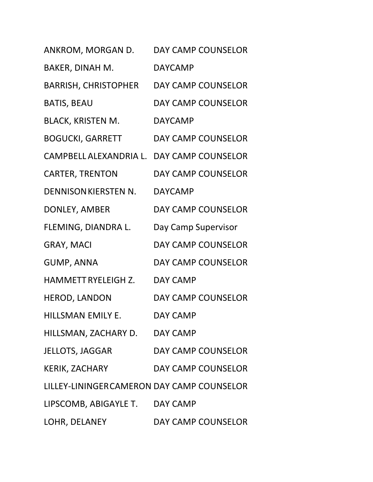| ANKROM, MORGAN D.                          | <b>DAY CAMP COUNSELOR</b> |
|--------------------------------------------|---------------------------|
| BAKER, DINAH M.                            | <b>DAYCAMP</b>            |
| <b>BARRISH, CHRISTOPHER</b>                | <b>DAY CAMP COUNSELOR</b> |
| <b>BATIS, BEAU</b>                         | DAY CAMP COUNSELOR        |
| <b>BLACK, KRISTEN M.</b>                   | <b>DAYCAMP</b>            |
| <b>BOGUCKI, GARRETT</b>                    | DAY CAMP COUNSELOR        |
| CAMPBELL ALEXANDRIA L. DAY CAMP COUNSELOR  |                           |
| <b>CARTER, TRENTON</b>                     | <b>DAY CAMP COUNSELOR</b> |
| DENNISON KIERSTEN N.                       | <b>DAYCAMP</b>            |
| DONLEY, AMBER                              | <b>DAY CAMP COUNSELOR</b> |
| FLEMING, DIANDRA L.                        | Day Camp Supervisor       |
| <b>GRAY, MACI</b>                          | DAY CAMP COUNSELOR        |
| <b>GUMP, ANNA</b>                          | DAY CAMP COUNSELOR        |
| HAMMETT RYELEIGH Z.                        | DAY CAMP                  |
| HEROD, LANDON                              | DAY CAMP COUNSELOR        |
| HILLSMAN EMILY E.                          | DAY CAMP                  |
| HILLSMAN, ZACHARY D. DAY CAMP              |                           |
| JELLOTS, JAGGAR                            | DAY CAMP COUNSELOR        |
| <b>KERIK, ZACHARY</b>                      | DAY CAMP COUNSELOR        |
| LILLEY-LININGER CAMERON DAY CAMP COUNSELOR |                           |
| LIPSCOMB, ABIGAYLE T. DAY CAMP             |                           |
| LOHR, DELANEY                              | DAY CAMP COUNSELOR        |